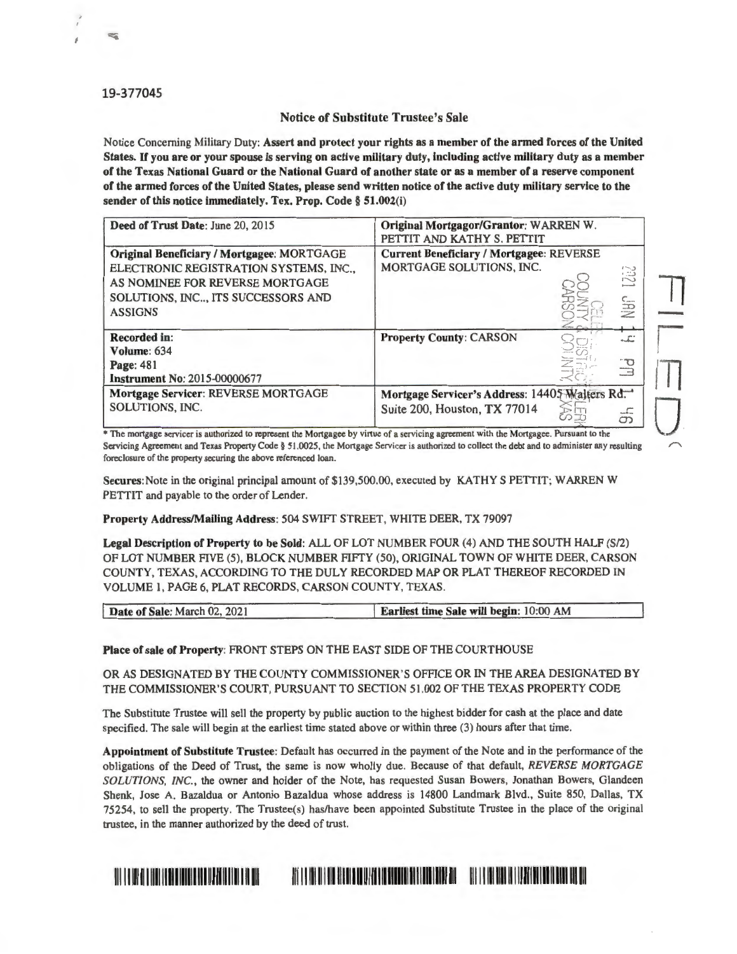## 19-377045

## Notice of Substitute Trustee's Sale

Notice Concerning Military Duty: Assert and protect your rights as a member of the armed forces of the United States. If you are or your spouse is serving on active military duty, including active military duty as a member of the Texas National Guard or the National Guard of another state or as a member of a reserve component of the armed forces of the United States, please send written notice of the active duty military service to the sender of this notice immediately. Tex. Prop. Code § 51.002(i)

| Deed of Trust Date: June 20, 2015                                                                                                                                               | Original Mortgagor/Grantor: WARREN W.<br>PETTIT AND KATHY S. PETTIT                                    |  |             |
|---------------------------------------------------------------------------------------------------------------------------------------------------------------------------------|--------------------------------------------------------------------------------------------------------|--|-------------|
| Original Beneficiary / Mortgagee: MORTGAGE<br>ELECTRONIC REGISTRATION SYSTEMS, INC.,<br>AS NOMINEE FOR REVERSE MORTGAGE<br>SOLUTIONS, INC, ITS SUCCESSORS AND<br><b>ASSIGNS</b> | <b>Current Beneficiary / Mortgagee: REVERSE</b><br>MORTGAGE SOLUTIONS, INC.<br><b>UEU</b><br><b>NB</b> |  |             |
| <b>Recorded in:</b><br>Volume: 634                                                                                                                                              | <b>Property County: CARSON</b>                                                                         |  | تك          |
| <b>Page: 481</b><br><b>Instrument No: 2015-00000677</b>                                                                                                                         |                                                                                                        |  | ŪЧ          |
| Mortgage Servicer: REVERSE MORTGAGE<br>SOLUTIONS, INC.                                                                                                                          | Mortgage Servicer's Address: 14405 Walters Rd.<br>Suite 200, Houston, TX 77014                         |  | ------<br>တ |

• The mortgage servicer 1s authonzed to represent the Mortgagee by virtue of a servicing agreement with the Mortgagee. Pursuant to the Servicing Agreement and Texas Property Code§ 51 .0025, the Mortgage Servicer is authorized to collect the debt and to administer any resulting foreclosure of the property securing the above referenced loan.

Secures: Note in the original principal amount of \$139,500.00, executed by KATHY S PETTIT; WARREN W PETTIT and payable to the order of Lender.

**Property Address/Mailing Address:** 504 SWIFf STREET, WHITE DEER, TX 79097

Legal Description of Property to be Sold: ALL OF LOT NUMBER FOUR (4) AND THE SOUTH HALF (S/2) OF LOT NUMBER FIVE (5), BLOCK NUMBER FIFTY (50), ORIGINAL TOWN OF WHITE DEER, CARSON COUNTY, TEXAS, ACCORDING TO THE DULY RECORDED MAP OR PLAT THEREOF RECORDED IN VOLUME 1, PAGE 6, PLAT RECORDS, CARSON COUNTY, TEXAS.

| Date of Sale: March 02, 2021 | <b>Earliest time Sale will begin: 10:00 AM</b> |
|------------------------------|------------------------------------------------|

**Place of sale of Property:** FRONT STEPS ON THE EAST SIDE OF THE COURTHOUSE

OR AS DESIGNATED BY THE COUNTY COMMISSIONER'S OFFICE OR IN THE AREA DESIGNATED BY THE COMMISSIONER'S COURT, PURSUANT TO SECTION 51.002 OF THE TEXAS PROPERTY CODE

The Substitute Trustee will sell the property by public auction to the highest bidder for cash at the place and date specified. The sale will begin at the earliest time stated above or within three (3) hours after that time.

**Appointment of Substitute Trustee:** Default has occurred in the payment of the Note and in the performance of the obligations of the Deed of Trust, the same is now wholly due. Because of that default, *REVERSE MORTGAGE SOLUTIONS, INC. ,* the owner and holder of the Note, has requested Susan Bowers, Jonathan Bowers, Glandeen Shenk, Jose A. Bazaldua or Antonio Bazaldua whose address is 14800 Landmark Blvd., Suite 850, Dallas, TX 75254, to sell the property. The Trustee(s) has/have been appointed Substitute Trustee in the place of the original trustee, in the manner authorized by the deed of trust.

## 111111111111111 I IIIIIIIII IIIIII Ill llll II I II Ill Ill I I Ill II I Ill 1111111111 <sup>1111111111111111</sup> 111111111111 111111111111111 IIIIIIIIIIIIIIII Ill Ill